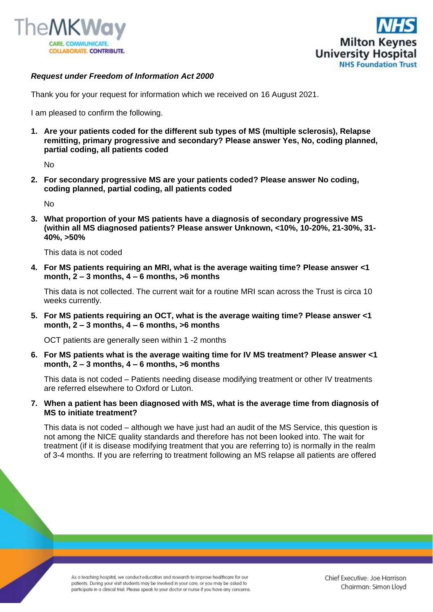



## *Request under Freedom of Information Act 2000*

Thank you for your request for information which we received on 16 August 2021.

I am pleased to confirm the following.

**1. Are your patients coded for the different sub types of MS (multiple sclerosis), Relapse remitting, primary progressive and secondary? Please answer Yes, No, coding planned, partial coding, all patients coded**

No

**2. For secondary progressive MS are your patients coded? Please answer No coding, coding planned, partial coding, all patients coded**

No

**3. What proportion of your MS patients have a diagnosis of secondary progressive MS (within all MS diagnosed patients? Please answer Unknown, <10%, 10-20%, 21-30%, 31- 40%, >50%**

This data is not coded

**4. For MS patients requiring an MRI, what is the average waiting time? Please answer <1 month, 2 – 3 months, 4 – 6 months, >6 months**

This data is not collected. The current wait for a routine MRI scan across the Trust is circa 10 weeks currently.

**5. For MS patients requiring an OCT, what is the average waiting time? Please answer <1 month, 2 – 3 months, 4 – 6 months, >6 months**

OCT patients are generally seen within 1 -2 months

**6. For MS patients what is the average waiting time for IV MS treatment? Please answer <1 month, 2 – 3 months, 4 – 6 months, >6 months**

This data is not coded – Patients needing disease modifying treatment or other IV treatments are referred elsewhere to Oxford or Luton.

**7. When a patient has been diagnosed with MS, what is the average time from diagnosis of MS to initiate treatment?**

This data is not coded – although we have just had an audit of the MS Service, this question is not among the NICE quality standards and therefore has not been looked into. The wait for treatment (if it is disease modifying treatment that you are referring to) is normally in the realm of 3-4 months. If you are referring to treatment following an MS relapse all patients are offered

As a teaching hospital, we conduct education and research to improve healthcare for our patients. During your visit students may be involved in your care, or you may be asked to participate in a clinical trial. Please speak to your doctor or nurse if you have any concerns.